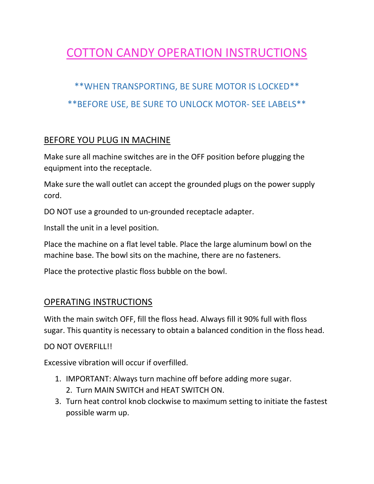# COTTON CANDY OPERATION INSTRUCTIONS

## \*\*WHEN TRANSPORTING, BE SURE MOTOR IS LOCKED\*\* \*\*BEFORE USE, BE SURE TO UNLOCK MOTOR- SEE LABELS\*\*

#### BEFORE YOU PLUG IN MACHINE

Make sure all machine switches are in the OFF position before plugging the equipment into the receptacle.

Make sure the wall outlet can accept the grounded plugs on the power supply cord.

DO NOT use a grounded to un-grounded receptacle adapter.

Install the unit in a level position.

Place the machine on a flat level table. Place the large aluminum bowl on the machine base. The bowl sits on the machine, there are no fasteners.

Place the protective plastic floss bubble on the bowl.

#### OPERATING INSTRUCTIONS

With the main switch OFF, fill the floss head. Always fill it 90% full with floss sugar. This quantity is necessary to obtain a balanced condition in the floss head.

DO NOT OVERFILL!!

Excessive vibration will occur if overfilled.

- 1. IMPORTANT: Always turn machine off before adding more sugar.
	- 2. Turn MAIN SWITCH and HEAT SWITCH ON.
- 3. Turn heat control knob clockwise to maximum setting to initiate the fastest possible warm up.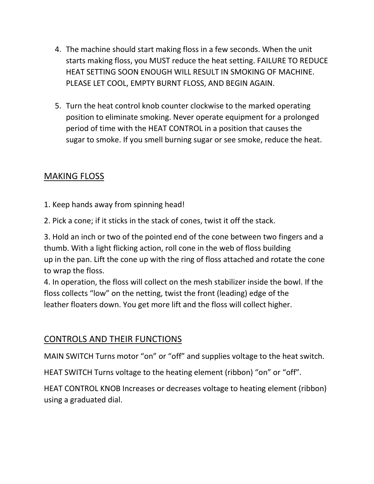- 4. The machine should start making floss in a few seconds. When the unit starts making floss, you MUST reduce the heat setting. FAILURE TO REDUCE HEAT SETTING SOON ENOUGH WILL RESULT IN SMOKING OF MACHINE. PLEASE LET COOL, EMPTY BURNT FLOSS, AND BEGIN AGAIN.
- 5. Turn the heat control knob counter clockwise to the marked operating position to eliminate smoking. Never operate equipment for a prolonged period of time with the HEAT CONTROL in a position that causes the sugar to smoke. If you smell burning sugar or see smoke, reduce the heat.

#### MAKING FLOSS

- 1. Keep hands away from spinning head!
- 2. Pick a cone; if it sticks in the stack of cones, twist it off the stack.

3. Hold an inch or two of the pointed end of the cone between two fingers and a thumb. With a light flicking action, roll cone in the web of floss building up in the pan. Lift the cone up with the ring of floss attached and rotate the cone to wrap the floss.

4. In operation, the floss will collect on the mesh stabilizer inside the bowl. If the floss collects "low" on the netting, twist the front (leading) edge of the leather floaters down. You get more lift and the floss will collect higher.

### CONTROLS AND THEIR FUNCTIONS

MAIN SWITCH Turns motor "on" or "off" and supplies voltage to the heat switch.

HEAT SWITCH Turns voltage to the heating element (ribbon) "on" or "off".

HEAT CONTROL KNOB Increases or decreases voltage to heating element (ribbon) using a graduated dial.